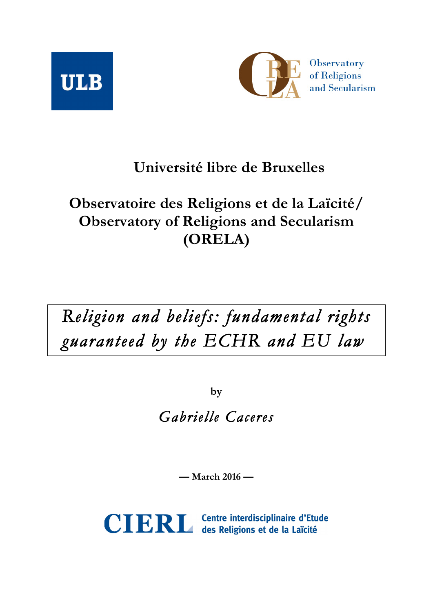



## **Université libre de Bruxelles**

## **Observatoire des Religions et de la Laïcité/ Observatory of Religions and Secularism (ORELA)**

# *Religion and beliefs: fundamental rights guaranteed by the ECHR and EU law*

**by**

*Gabrielle Caceres*

**— March 2016 —**



CIERL Centre interdisciplinaire d'Etude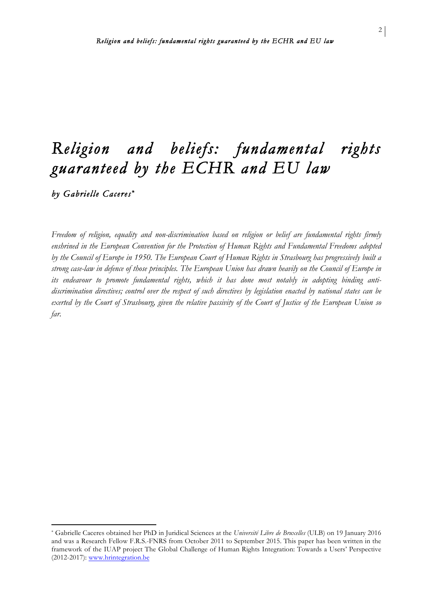*by Gabrielle Caceres \** 

 

*Freedom of religion, equality and non-discrimination based on religion or belief are fundamental rights firmly enshrined in the European Convention for the Protection of Human Rights and Fundamental Freedoms adopted by the Council of Europe in 1950. The European Court of Human Rights in Strasbourg has progressively built a strong case-law in defence of those principles. The European Union has drawn heavily on the Council of Europe in its endeavour to promote fundamental rights, which it has done most notably in adopting binding antidiscrimination directives; control over the respect of such directives by legislation enacted by national states can be exerted by the Court of Strasbourg, given the relative passivity of the Court of Justice of the European Union so far.*

<sup>\*</sup> Gabrielle Caceres obtained her PhD in Juridical Sciences at the *Université Libre de Bruxelles* (ULB) on 19 January 2016 and was a Research Fellow F.R.S.-FNRS from October 2011 to September 2015. This paper has been written in the framework of the IUAP project The Global Challenge of Human Rights Integration: Towards a Users' Perspective (2012-2017): www.hrintegration.be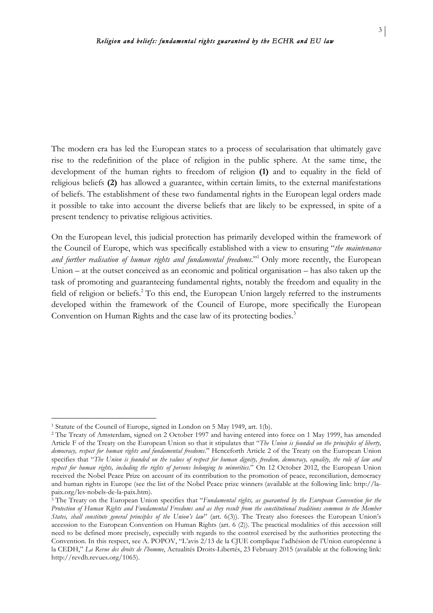3

The modern era has led the European states to a process of secularisation that ultimately gave rise to the redefinition of the place of religion in the public sphere. At the same time, the development of the human rights to freedom of religion **(1)** and to equality in the field of religious beliefs **(2)** has allowed a guarantee, within certain limits, to the external manifestations of beliefs. The establishment of these two fundamental rights in the European legal orders made it possible to take into account the diverse beliefs that are likely to be expressed, in spite of a present tendency to privatise religious activities.

On the European level, this judicial protection has primarily developed within the framework of the Council of Europe, which was specifically established with a view to ensuring "*the maintenance and further realisation of human rights and fundamental freedoms*."1 Only more recently, the European Union – at the outset conceived as an economic and political organisation – has also taken up the task of promoting and guaranteeing fundamental rights, notably the freedom and equality in the field of religion or beliefs.<sup>2</sup> To this end, the European Union largely referred to the instruments developed within the framework of the Council of Europe, more specifically the European Convention on Human Rights and the case law of its protecting bodies.<sup>3</sup>

<sup>&</sup>lt;sup>1</sup> Statute of the Council of Europe, signed in London on 5 May 1949, art. 1(b).

<sup>2</sup> The Treaty of Amsterdam, signed on 2 October 1997 and having entered into force on 1 May 1999, has amended Article F of the Treaty on the European Union so that it stipulates that "*The Union is founded on the principles of liberty, democracy, respect for human rights and fundamental freedoms*." Henceforth Article 2 of the Treaty on the European Union specifies that "*The Union is founded on the values of respect for human dignity, freedom, democracy, equality, the rule of law and respect for human rights, including the rights of persons belonging to minorities*." On 12 October 2012, the European Union received the Nobel Peace Prize on account of its contribution to the promotion of peace, reconciliation, democracy and human rights in Europe (see the list of the Nobel Peace prize winners (available at the following link: http://lapaix.org/les-nobels-de-la-paix.htm).

<sup>3</sup> The Treaty on the European Union specifies that "*Fundamental rights, as guaranteed by the European Convention for the Protection of Human Rights and Fundamental Freedoms and as they result from the constitutional traditions common to the Member States, shall constitute general principles of the Union's law*" (art. 6(3)). The Treaty also foresees the European Union's accession to the European Convention on Human Rights (art. 6 (2)). The practical modalities of this accession still need to be defined more precisely, especially with regards to the control exercised by the authorities protecting the Convention. In this respect, see A. POPOV, "L'avis 2/13 de la CJUE complique l'adhésion de l'Union européenne à la CEDH," *La Revue des droits de l'homme*, Actualités Droits-Libertés, 23 February 2015 (available at the following link: http://revdh.revues.org/1065).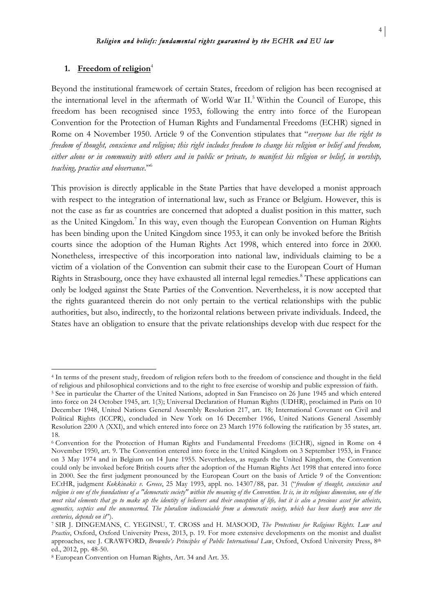#### 1. Freedom of religion<sup>4</sup>

 

Beyond the institutional framework of certain States, freedom of religion has been recognised at the international level in the aftermath of World War II.<sup>5</sup> Within the Council of Europe, this freedom has been recognised since 1953, following the entry into force of the European Convention for the Protection of Human Rights and Fundamental Freedoms (ECHR) signed in Rome on 4 November 1950. Article 9 of the Convention stipulates that "*everyone has the right to freedom of thought, conscience and religion; this right includes freedom to change his religion or belief and freedom, either alone or in community with others and in public or private, to manifest his religion or belief, in worship, teaching, practice and observance*."6

This provision is directly applicable in the State Parties that have developed a monist approach with respect to the integration of international law, such as France or Belgium. However, this is not the case as far as countries are concerned that adopted a dualist position in this matter, such as the United Kingdom.<sup>7</sup> In this way, even though the European Convention on Human Rights has been binding upon the United Kingdom since 1953, it can only be invoked before the British courts since the adoption of the Human Rights Act 1998, which entered into force in 2000. Nonetheless, irrespective of this incorporation into national law, individuals claiming to be a victim of a violation of the Convention can submit their case to the European Court of Human Rights in Strasbourg, once they have exhausted all internal legal remedies.<sup>8</sup> These applications can only be lodged against the State Parties of the Convention. Nevertheless, it is now accepted that the rights guaranteed therein do not only pertain to the vertical relationships with the public authorities, but also, indirectly, to the horizontal relations between private individuals. Indeed, the States have an obligation to ensure that the private relationships develop with due respect for the

<sup>4</sup> In terms of the present study, freedom of religion refers both to the freedom of conscience and thought in the field of religious and philosophical convictions and to the right to free exercise of worship and public expression of faith.

<sup>5</sup> See in particular the Charter of the United Nations, adopted in San Francisco on 26 June 1945 and which entered into force on 24 October 1945, art. 1(3); Universal Declaration of Human Rights (UDHR), proclaimed in Paris on 10 December 1948, United Nations General Assembly Resolution 217, art. 18; International Covenant on Civil and Political Rights (ICCPR), concluded in New York on 16 December 1966, United Nations General Assembly Resolution 2200 A (XXI), and which entered into force on 23 March 1976 following the ratification by 35 states, art. 18.

<sup>6</sup> Convention for the Protection of Human Rights and Fundamental Freedoms (ECHR), signed in Rome on 4 November 1950, art. 9. The Convention entered into force in the United Kingdom on 3 September 1953, in France on 3 May 1974 and in Belgium on 14 June 1955. Nevertheless, as regards the United Kingdom, the Convention could only be invoked before British courts after the adoption of the Human Rights Act 1998 that entered into force in 2000. See the first judgment pronounced by the European Court on the basis of Article 9 of the Convention: ECtHR, judgment *Kokkinakis v. Greece*, 25 May 1993, appl. no. 14307/88, par. 31 ("*freedom of thought, conscience and religion is one of the foundations of a "democratic society" within the meaning of the Convention. It is, in its religious dimension, one of the most vital elements that go to make up the identity of believers and their conception of life, but it is also a precious asset for atheists, agnostics, sceptics and the unconcerned. The pluralism indissociable from a democratic society, which has been dearly won over the centuries, depends on it*").

<sup>7</sup> SIR J. DINGEMANS, C. YEGINSU, T. CROSS and H. MASOOD, *The Protections for Religious Rights. Law and Practice*, Oxford, Oxford University Press, 2013, p. 19. For more extensive developments on the monist and dualist approaches, see J. CRAWFORD, *Brownlie's Principles of Public International Law*, Oxford, Oxford University Press, 8th ed., 2012, pp. 48-50.

<sup>8</sup> European Convention on Human Rights, Art. 34 and Art. 35.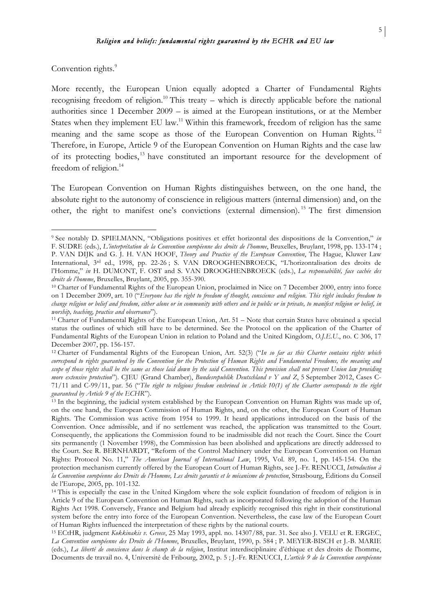Convention rights.<sup>9</sup>

 

More recently, the European Union equally adopted a Charter of Fundamental Rights recognising freedom of religion.<sup>10</sup> This treaty – which is directly applicable before the national authorities since 1 December 2009 – is aimed at the European institutions, or at the Member States when they implement EU law.11 Within this framework, freedom of religion has the same meaning and the same scope as those of the European Convention on Human Rights.<sup>12</sup> Therefore, in Europe, Article 9 of the European Convention on Human Rights and the case law of its protecting bodies, <sup>13</sup> have constituted an important resource for the development of freedom of religion.<sup>14</sup>

The European Convention on Human Rights distinguishes between, on the one hand, the absolute right to the autonomy of conscience in religious matters (internal dimension) and, on the other, the right to manifest one's convictions (external dimension). <sup>15</sup> The first dimension

<sup>9</sup> See notably D. SPIELMANN, "Obligations positives et effet horizontal des dispositions de la Convention," *in* F. SUDRE (eds.), *L'interprétation de la Convention européenne des droits de l'homme*, Bruxelles, Bruylant, 1998, pp. 133-174 ; P. VAN DIJK and G. J. H. VAN HOOF, *Theory and Practice of the European Convention*, The Hague, Kluwer Law International, 3rd ed., 1998, pp. 22-26 ; S. VAN DROOGHENBROECK, "L'horizontalisation des droits de l'Homme," *in* H. DUMONT, F. OST and S. VAN DROOGHENBROECK (eds.), *La responsabilité, face cachée des droits de l'homme*, Bruxelles, Bruylant, 2005, pp. 355-390.

<sup>&</sup>lt;sup>10</sup> Charter of Fundamental Rights of the European Union, proclaimed in Nice on 7 December 2000, entry into force on 1 December 2009, art. 10 ("*Everyone has the right to freedom of thought, conscience and religion. This right includes freedom to change religion or belief and freedom, either alone or in community with others and in public or in private, to manifest religion or belief, in worship, teaching, practice and observance*").

<sup>11</sup> Charter of Fundamental Rights of the European Union, Art. 51 – Note that certain States have obtained a special status the outlines of which still have to be determined. See the Protocol on the application of the Charter of Fundamental Rights of the European Union in relation to Poland and the United Kingdom, *O.J.E.U.*, no. C 306, 17 December 2007, pp. 156-157.

<sup>12</sup> Charter of Fundamental Rights of the European Union, Art. 52(3) ("*In so far as this Charter contains rights which correspond to rights guaranteed by the Convention for the Protection of Human Rights and Fundamental Freedoms, the meaning and scope of those rights shall be the same as those laid down by the said Convention. This provision shall not prevent Union law providing more extensive protection*"). CJEU (Grand Chamber), *Bundesrepublik Deutschland v Y and Z*, 5 September 2012, Cases C-71/11 and C-99/11, par. 56 ("*The right to religious freedom enshrined in Article 10(1) of the Charter corresponds to the right guaranteed by Article 9 of the ECHR*").

<sup>&</sup>lt;sup>13</sup> In the beginning, the judicial system established by the European Convention on Human Rights was made up of, on the one hand, the European Commission of Human Rights, and, on the other, the European Court of Human Rights. The Commission was active from 1954 to 1999. It heard applications introduced on the basis of the Convention. Once admissible, and if no settlement was reached, the application was transmitted to the Court. Consequently, the applications the Commission found to be inadmissible did not reach the Court. Since the Court sits permanently (1 November 1998), the Commission has been abolished and applications are directly addressed to the Court. See R. BERNHARDT, "Reform of the Control Machinery under the European Convention on Human Rights: Protocol No. 11," *The American Journal of International Law*, 1995, Vol. 89, no. 1, pp. 145-154. On the protection mechanism currently offered by the European Court of Human Rights, see J.-Fr. RENUCCI, *Introduction à la Convention européenne des Droits de l'Homme, Les droits garantis et le mécanisme de protection*, Strasbourg, Éditions du Conseil de l'Europe, 2005, pp. 101-132.

<sup>&</sup>lt;sup>14</sup> This is especially the case in the United Kingdom where the sole explicit foundation of freedom of religion is in Article 9 of the European Convention on Human Rights, such as incorporated following the adoption of the Human Rights Act 1998. Conversely, France and Belgium had already explicitly recognised this right in their constitutional system before the entry into force of the European Convention. Nevertheless, the case law of the European Court of Human Rights influenced the interpretation of these rights by the national courts.

<sup>15</sup> ECtHR, judgment *Kokkinakis v. Greece*, 25 May 1993, appl. no. 14307/88, par. 31. See also J. VELU et R. ERGEC, *La Convention européenne des Droits de l'Homme*, Bruxelles, Bruylant, 1990, p. 584 ; P. MEYER-BISCH et J.-B. MARIE (eds.), *La liberté de conscience dans le champ de la religion*, Institut interdisciplinaire d'éthique et des droits de l'homme, Documents de travail no. 4, Université de Fribourg, 2002, p. 5 ; J.-Fr. RENUCCI, *L'article 9 de la Convention européenne*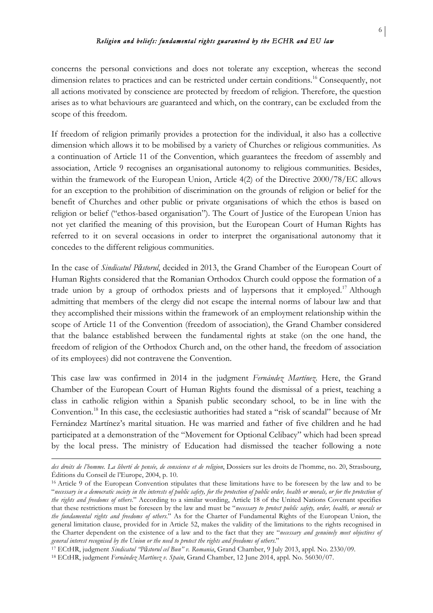concerns the personal convictions and does not tolerate any exception, whereas the second dimension relates to practices and can be restricted under certain conditions.<sup>16</sup> Consequently, not all actions motivated by conscience are protected by freedom of religion. Therefore, the question arises as to what behaviours are guaranteed and which, on the contrary, can be excluded from the scope of this freedom.

If freedom of religion primarily provides a protection for the individual, it also has a collective dimension which allows it to be mobilised by a variety of Churches or religious communities. As a continuation of Article 11 of the Convention, which guarantees the freedom of assembly and association, Article 9 recognises an organisational autonomy to religious communities. Besides, within the framework of the European Union, Article 4(2) of the Directive 2000/78/EC allows for an exception to the prohibition of discrimination on the grounds of religion or belief for the benefit of Churches and other public or private organisations of which the ethos is based on religion or belief ("ethos-based organisation"). The Court of Justice of the European Union has not yet clarified the meaning of this provision, but the European Court of Human Rights has referred to it on several occasions in order to interpret the organisational autonomy that it concedes to the different religious communities.

In the case of *Sindicatul Păstorul*, decided in 2013, the Grand Chamber of the European Court of Human Rights considered that the Romanian Orthodox Church could oppose the formation of a trade union by a group of orthodox priests and of laypersons that it employed.<sup>17</sup> Although admitting that members of the clergy did not escape the internal norms of labour law and that they accomplished their missions within the framework of an employment relationship within the scope of Article 11 of the Convention (freedom of association), the Grand Chamber considered that the balance established between the fundamental rights at stake (on the one hand, the freedom of religion of the Orthodox Church and, on the other hand, the freedom of association of its employees) did not contravene the Convention.

This case law was confirmed in 2014 in the judgment *Fernández Martínez*. Here, the Grand Chamber of the European Court of Human Rights found the dismissal of a priest, teaching a class in catholic religion within a Spanish public secondary school, to be in line with the Convention.18 In this case, the ecclesiastic authorities had stated a "risk of scandal" because of Mr Fernández Martínez's marital situation. He was married and father of five children and he had participated at a demonstration of the "Movement for Optional Celibacy" which had been spread by the local press. The ministry of Education had dismissed the teacher following a note

<sup>&</sup>lt;u> 1989 - Jan Samuel Barbara, martxa a shekara tsa 1989 - An tsa 1989 - An tsa 1989 - An tsa 1989 - An tsa 198</u> *des droits de l'homme. La liberté de pensée, de conscience et de religion*, Dossiers sur les droits de l'homme, no. 20, Strasbourg, Éditions du Conseil de l'Europe, 2004, p. 10.

<sup>16</sup> Article 9 of the European Convention stipulates that these limitations have to be foreseen by the law and to be "*necessary in a democratic society in the interests of public safety, for the protection of public order, health or morals, or for the protection of the rights and freedoms of others*." According to a similar wording, Article 18 of the United Nations Covenant specifies that these restrictions must be foreseen by the law and must be "*necessary to protect public safety, order, health, or morals or the fundamental rights and freedoms of others*." As for the Charter of Fundamental Rights of the European Union, the general limitation clause, provided for in Article 52, makes the validity of the limitations to the rights recognised in the Charter dependent on the existence of a law and to the fact that they are "*necessary and genuinely meet objectives of general interest recognised by the Union or the need to protect the rights and freedoms of others*."

<sup>17</sup> ECtHR, judgment *Sindicatul "Păstorul cel Bun" v. Romania*, Grand Chamber, 9 July 2013, appl. No. 2330/09.

<sup>18</sup> ECtHR, judgment *Fernández Martínez v. Spain*, Grand Chamber, 12 June 2014, appl. No. 56030/07.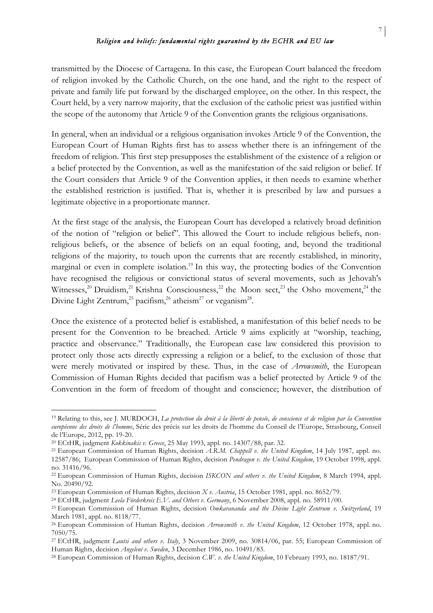transmitted by the Diocese of Cartagena. In this case, the European Court balanced the freedom of religion invoked by the Catholic Church, on the one hand, and the right to the respect of private and family life put forward by the discharged employee, on the other. In this respect, the Court held, by a very narrow majority, that the exclusion of the catholic priest was justified within the scope of the autonomy that Article 9 of the Convention grants the religious organisations.

In general, when an individual or a religious organisation invokes Article 9 of the Convention, the European Court of Human Rights first has to assess whether there is an infringement of the freedom of religion. This first step presupposes the establishment of the existence of a religion or a belief protected by the Convention, as well as the manifestation of the said religion or belief. If the Court considers that Article 9 of the Convention applies, it then needs to examine whether the established restriction is justified. That is, whether it is prescribed by law and pursues a legitimate objective in a proportionate manner.

At the first stage of the analysis, the European Court has developed a relatively broad definition of the notion of "religion or belief". This allowed the Court to include religious beliefs, nonreligious beliefs, or the absence of beliefs on an equal footing, and, beyond the traditional religions of the majority, to touch upon the currents that are recently established, in minority, marginal or even in complete isolation.<sup>19</sup> In this way, the protecting bodies of the Convention have recognised the religious or convictional status of several movements, such as Jehovah's Witnesses,<sup>20</sup> Druidism,<sup>21</sup> Krishna Consciousness,<sup>22</sup> the Moon sect,<sup>23</sup> the Osho movement,<sup>24</sup> the Divine Light Zentrum,<sup>25</sup> pacifism,<sup>26</sup> atheism<sup>27</sup> or veganism<sup>28</sup>.

Once the existence of a protected belief is established, a manifestation of this belief needs to be present for the Convention to be breached. Article 9 aims explicitly at "worship, teaching, practice and observance." Traditionally, the European case law considered this provision to protect only those acts directly expressing a religion or a belief, to the exclusion of those that were merely motivated or inspired by these. Thus, in the case of *Arrowsmith*, the European Commission of Human Rights decided that pacifism was a belief protected by Article 9 of the Convention in the form of freedom of thought and conscience; however, the distribution of

<sup>19</sup> Relating to this, see J. MURDOCH, *La protection du droit à la liberté de pensée, de conscience et de religion par la Convention européenne des droits de l'homme*, Série des précis sur les droits de l'homme du Conseil de l'Europe, Strasbourg, Conseil de l'Europe, 2012, pp. 19-20.

<sup>20</sup> ECtHR, judgment *Kokkinakis v. Greece*, 25 May 1993, appl. no. 14307/88, par. 32.

<sup>21</sup> European Commission of Human Rights, decision *A.R.M. Chappell v. the United Kingdom*, 14 July 1987, appl. no. 12587/86; European Commission of Human Rights, decision *Pendragon v. the United Kingdom*, 19 October 1998, appl. no. 31416/96.

<sup>22</sup> European Commission of Human Rights, decision *ISKCON and others v. the United Kingdom*, 8 March 1994, appl. No. 20490/92.

<sup>23</sup> European Commission of Human Rights, decision *X v. Austria*, 15 October 1981, appl. no. 8652/79.

<sup>24</sup> ECtHR, judgment *Leela Förderkreis E.V. and Others v. Germany*, 6 November 2008, appl. no. 58911/00.

<sup>25</sup> European Commission of Human Rights, decision *Omkarananda and the Divine Light Zentrum v. Switzerland*, 19 March 1981, appl. no. 8118/77.

<sup>26</sup> European Commission of Human Rights, decision *Arrowsmith v. the United Kingdom*, 12 October 1978, appl. no. 7050/75.

<sup>27</sup> ECtHR, judgment *Lautsi and others v. Italy*, 3 November 2009, no. 30814/06, par. 55; European Commission of Human Rights, decision *Angeleni v. Sweden*, 3 December 1986, no. 10491/83.

<sup>28</sup> European Commission of Human Rights, decision *C.W. v. the United Kingdom*, 10 February 1993, no. 18187/91.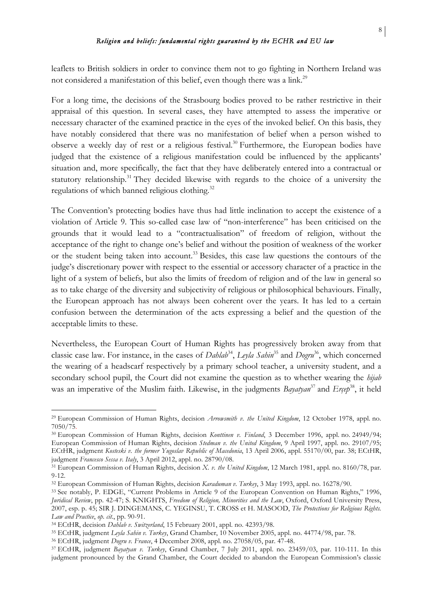leaflets to British soldiers in order to convince them not to go fighting in Northern Ireland was not considered a manifestation of this belief, even though there was a link.<sup>29</sup>

For a long time, the decisions of the Strasbourg bodies proved to be rather restrictive in their appraisal of this question. In several cases, they have attempted to assess the imperative or necessary character of the examined practice in the eyes of the invoked belief. On this basis, they have notably considered that there was no manifestation of belief when a person wished to observe a weekly day of rest or a religious festival.<sup>30</sup> Furthermore, the European bodies have judged that the existence of a religious manifestation could be influenced by the applicants' situation and, more specifically, the fact that they have deliberately entered into a contractual or statutory relationship.<sup>31</sup> They decided likewise with regards to the choice of a university the regulations of which banned religious clothing.<sup>32</sup>

The Convention's protecting bodies have thus had little inclination to accept the existence of a violation of Article 9. This so-called case law of "non-interference" has been criticised on the grounds that it would lead to a "contractualisation" of freedom of religion, without the acceptance of the right to change one's belief and without the position of weakness of the worker or the student being taken into account.<sup>33</sup> Besides, this case law questions the contours of the judge's discretionary power with respect to the essential or accessory character of a practice in the light of a system of beliefs, but also the limits of freedom of religion and of the law in general so as to take charge of the diversity and subjectivity of religious or philosophical behaviours. Finally, the European approach has not always been coherent over the years. It has led to a certain confusion between the determination of the acts expressing a belief and the question of the acceptable limits to these.

Nevertheless, the European Court of Human Rights has progressively broken away from that classic case law. For instance, in the cases of *Dahlab*34, *Leyla Sahin*<sup>35</sup> and *Dogru*36, which concerned the wearing of a headscarf respectively by a primary school teacher, a university student, and a secondary school pupil, the Court did not examine the question as to whether wearing the *hijab*  was an imperative of the Muslim faith. Likewise, in the judgments *Bayatyan*<sup>37</sup> and *Ercep*<sup>38</sup>, it held

<sup>29</sup> European Commission of Human Rights, decision *Arrowsmith v. the United Kingdom*, 12 October 1978, appl. no. 7050/75.

<sup>30</sup> European Commission of Human Rights, decision *Konttinen v. Finland*, 3 December 1996, appl. no. 24949/94; European Commission of Human Rights, decision *Stedman v. the United Kingdom*, 9 April 1997, appl. no. 29107/95; ECtHR, judgment *Kosteski v. the former Yugoslav Republic of Macedonia*, 13 April 2006, appl. 55170/00, par. 38; ECtHR, judgment *Francesco Sessa v. Italy*, 3 April 2012, appl. no. 28790/08.

<sup>31</sup> European Commission of Human Rights, decision *X. v. the United Kingdom*, 12 March 1981, appl. no. 8160/78, par. 9-12.

<sup>32</sup> European Commission of Human Rights, decision *Karaduman v. Turkey*, 3 May 1993, appl. no. 16278/90.

<sup>33</sup> See notably, P. EDGE, "Current Problems in Article 9 of the European Convention on Human Rights," 1996, *Juridical Review*, pp. 42-47; S. KNIGHTS, *Freedom of Religion, Minorities and the Law*, Oxford, Oxford University Press, 2007, esp. p. 45; SIR J. DINGEMANS, C. YEGINSU, T. CROSS et H. MASOOD, *The Protections for Religious Rights. Law and Practice*, *op. cit.*, pp. 90-91.

<sup>34</sup> ECtHR, decision *Dahlab v. Switzerland*, 15 February 2001, appl. no. 42393/98.

<sup>35</sup> ECtHR, judgment *Leyla Sahin v. Turkey*, Grand Chamber, 10 November 2005, appl. no. 44774/98, par. 78.

<sup>36</sup> ECtHR, judgment *Dogru v. France*, 4 December 2008, appl. no. 27058/05, par. 47-48.

<sup>37</sup> ECtHR, judgment *Bayatyan v. Turkey*, Grand Chamber, 7 July 2011, appl. no. 23459/03, par. 110-111. In this judgment pronounced by the Grand Chamber, the Court decided to abandon the European Commission's classic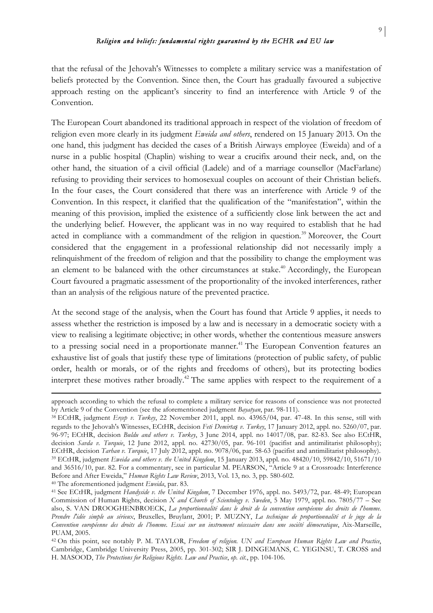that the refusal of the Jehovah's Witnesses to complete a military service was a manifestation of beliefs protected by the Convention. Since then, the Court has gradually favoured a subjective approach resting on the applicant's sincerity to find an interference with Article 9 of the Convention.

The European Court abandoned its traditional approach in respect of the violation of freedom of religion even more clearly in its judgment *Eweida and others*, rendered on 15 January 2013. On the one hand, this judgment has decided the cases of a British Airways employee (Eweida) and of a nurse in a public hospital (Chaplin) wishing to wear a crucifix around their neck, and, on the other hand, the situation of a civil official (Ladele) and of a marriage counsellor (MacFarlane) refusing to providing their services to homosexual couples on account of their Christian beliefs. In the four cases, the Court considered that there was an interference with Article 9 of the Convention. In this respect, it clarified that the qualification of the "manifestation", within the meaning of this provision, implied the existence of a sufficiently close link between the act and the underlying belief. However, the applicant was in no way required to establish that he had acted in compliance with a commandment of the religion in question.<sup>39</sup> Moreover, the Court considered that the engagement in a professional relationship did not necessarily imply a relinquishment of the freedom of religion and that the possibility to change the employment was an element to be balanced with the other circumstances at stake.<sup>40</sup> Accordingly, the European Court favoured a pragmatic assessment of the proportionality of the invoked interferences, rather than an analysis of the religious nature of the prevented practice.

At the second stage of the analysis, when the Court has found that Article 9 applies, it needs to assess whether the restriction is imposed by a law and is necessary in a democratic society with a view to realising a legitimate objective; in other words, whether the contentious measure answers to a pressing social need in a proportionate manner.<sup>41</sup> The European Convention features an exhaustive list of goals that justify these type of limitations (protection of public safety, of public order, health or morals, or of the rights and freedoms of others), but its protecting bodies interpret these motives rather broadly.<sup>42</sup> The same applies with respect to the requirement of a

<sup>&</sup>lt;u> 1989 - Jan Samuel Barbara, martxa a shekara tsa 1989 - An tsa 1989 - An tsa 1989 - An tsa 1989 - An tsa 198</u> approach according to which the refusal to complete a military service for reasons of conscience was not protected by Article 9 of the Convention (see the aforementioned judgment *Bayatyan*, par. 98-111).

<sup>38</sup> ECtHR, judgment *Erçep v. Turkey*, 22 November 2011, appl. no. 43965/04, par. 47-48. In this sense, still with regards to the Jehovah's Witnesses, ECtHR, decision *Feti Demirtaş v. Turkey*, 17 January 2012, appl. no. 5260/07, par. 96-97; ECtHR, decision *Buldu and others v. Turkey*, 3 June 2014, appl. no 14017/08, par. 82-83. See also ECtHR, decision *Savda v. Turquie*, 12 June 2012, appl. no. 42730/05, par. 96-101 (pacifist and antimilitarist philosophy); ECtHR, decision *Tarhan v. Turquie*, 17 July 2012, appl. no. 9078/06, par. 58-63 (pacifist and antimilitarist philosophy). <sup>39</sup> ECtHR, judgment *Eweida and others v. the United Kingdom*, 15 January 2013, appl. no. 48420/10, 59842/10, 51671/10 and 36516/10, par. 82. For a commentary, see in particular M. PEARSON, "Article 9 at a Crossroads: Interference Before and After Eweida," *Human Rights Law Review*, 2013, Vol. 13, no. 3, pp. 580-602. <sup>40</sup> The aforementioned judgment *Eweida*, par. 83.

<sup>41</sup> See ECtHR, judgment *Handyside v. the United Kingdom*, 7 December 1976, appl. no. 5493/72, par. 48-49; European Commission of Human Rights, decision *X and Church of Scientology v. Sweden*, 5 May 1979, appl. no. 7805/77 – See also, S. VAN DROOGHENBROECK, *La proportionnalité dans le droit de la convention européenne des droits de l'homme. Prendre l'idée simple au sérieux*, Bruxelles, Bruylant, 2001; P. MUZNY, *La technique de proportionnalité et le juge de la Convention européenne des droits de l'homme. Essai sur un instrument nécessaire dans une société démocratique*, Aix-Marseille, PUAM, 2005.

<sup>42</sup> On this point, see notably P. M. TAYLOR, *Freedom of religion. UN and European Human Rights Law and Practice*, Cambridge, Cambridge University Press, 2005, pp. 301-302; SIR J. DINGEMANS, C. YEGINSU, T. CROSS and H. MASOOD, *The Protections for Religious Rights. Law and Practice*, *op. cit.*, pp. 104-106.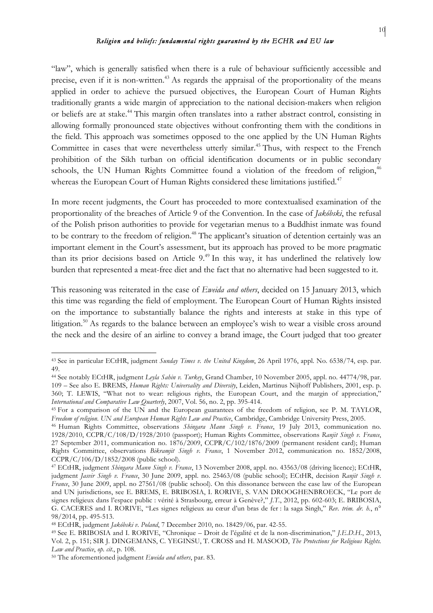"law", which is generally satisfied when there is a rule of behaviour sufficiently accessible and precise, even if it is non-written.<sup>43</sup> As regards the appraisal of the proportionality of the means applied in order to achieve the pursued objectives, the European Court of Human Rights traditionally grants a wide margin of appreciation to the national decision-makers when religion or beliefs are at stake.<sup>44</sup> This margin often translates into a rather abstract control, consisting in allowing formally pronounced state objectives without confronting them with the conditions in the field. This approach was sometimes opposed to the one applied by the UN Human Rights Committee in cases that were nevertheless utterly similar.<sup>45</sup> Thus, with respect to the French prohibition of the Sikh turban on official identification documents or in public secondary schools, the UN Human Rights Committee found a violation of the freedom of religion,<sup>46</sup> whereas the European Court of Human Rights considered these limitations justified.<sup>47</sup>

In more recent judgments, the Court has proceeded to more contextualised examination of the proportionality of the breaches of Article 9 of the Convention. In the case of *Jakóbski*, the refusal of the Polish prison authorities to provide for vegetarian menus to a Buddhist inmate was found to be contrary to the freedom of religion.<sup>48</sup> The applicant's situation of detention certainly was an important element in the Court's assessment, but its approach has proved to be more pragmatic than its prior decisions based on Article 9.49 In this way, it has underlined the relatively low burden that represented a meat-free diet and the fact that no alternative had been suggested to it.

This reasoning was reiterated in the case of *Eweida and others*, decided on 15 January 2013, which this time was regarding the field of employment. The European Court of Human Rights insisted on the importance to substantially balance the rights and interests at stake in this type of litigation.<sup>50</sup> As regards to the balance between an employee's wish to wear a visible cross around the neck and the desire of an airline to convey a brand image, the Court judged that too greater

<sup>43</sup> See in particular ECtHR, judgment *Sunday Times v. the United Kingdom*, 26 April 1976, appl. No. 6538/74, esp. par. 49.

<sup>44</sup> See notably ECtHR, judgment *Leyla Sahin v. Turkey*, Grand Chamber, 10 November 2005, appl. no. 44774/98, par. 109 – See also E. BREMS, *Human Rights: Universality and Diversity*, Leiden, Martinus Nijhoff Publishers, 2001, esp. p. 360; T. LEWIS, "What not to wear: religious rights, the European Court, and the margin of appreciation," *International and Comparative Law Quarterly*, 2007, Vol. 56, no. 2, pp. 395-414.

<sup>&</sup>lt;sup>45</sup> For a comparison of the UN and the European guarantees of the freedom of religion, see P. M. TAYLOR, *Freedom of religion. UN and European Human Rights Law and Practice*, Cambridge, Cambridge University Press, 2005.

<sup>46</sup> Human Rights Committee, observations *Shingara Mann Singh v. France*, 19 July 2013, communication no. 1928/2010, CCPR/C/108/D/1928/2010 (passport); Human Rights Committee, observations *Ranjit Singh v. France*, 27 September 2011, communication no. 1876/2009, CCPR/C/102/1876/2009 (permanent resident card); Human Rights Committee, observations *Bikramjit Singh v. France*, 1 November 2012, communication no. 1852/2008, CCPR/C/106/D/1852/2008 (public school).

<sup>47</sup> ECtHR, judgment *Shingara Mann Singh v. France*, 13 November 2008, appl. no. 43563/08 (driving licence); ECtHR, judgment *Jasvir Singh v. France*, 30 June 2009, appl. no. 25463/08 (public school); ECtHR, decision *Ranjit Singh v. France*, 30 June 2009, appl. no 27561/08 (public school). On this dissonance between the case law of the European and UN jurisdictions, see E. BREMS, E. BRIBOSIA, I. RORIVE, S. VAN DROOGHENBROECK, "Le port de signes religieux dans l'espace public : vérité à Strasbourg, erreur à Genève?," *J.T.*, 2012, pp. 602-603; E. BRIBOSIA, G. CACERES and I. RORIVE, "Les signes religieux au cœur d'un bras de fer : la saga Singh," *Rev. trim. dr. h.*, n° 98/2014, pp. 495-513.

<sup>48</sup> ECtHR, judgment *Jakóbski v. Poland*, 7 December 2010, no. 18429/06, par. 42-55.

<sup>49</sup> See E. BRIBOSIA and I. RORIVE, "Chronique – Droit de l'égalité et de la non-discrimination," *J.E.D.H.*, 2013, Vol. 2, p. 151; SIR J. DINGEMANS, C. YEGINSU, T. CROSS and H. MASOOD, *The Protections for Religious Rights. Law and Practice*, *op. cit.*, p. 108.

<sup>50</sup> The aforementioned judgment *Eweida and others*, par. 83.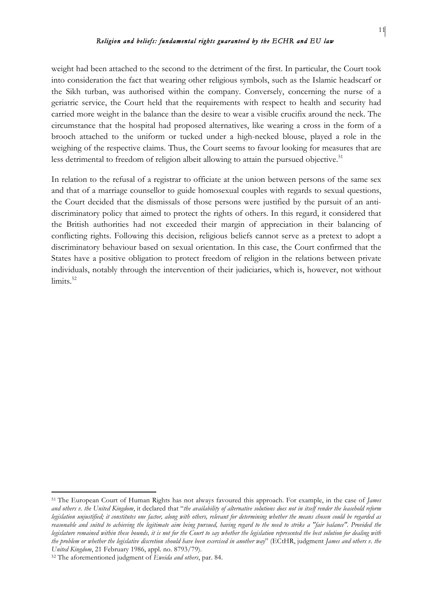weight had been attached to the second to the detriment of the first. In particular, the Court took into consideration the fact that wearing other religious symbols, such as the Islamic headscarf or the Sikh turban, was authorised within the company. Conversely, concerning the nurse of a geriatric service, the Court held that the requirements with respect to health and security had carried more weight in the balance than the desire to wear a visible crucifix around the neck. The circumstance that the hospital had proposed alternatives, like wearing a cross in the form of a brooch attached to the uniform or tucked under a high-necked blouse, played a role in the weighing of the respective claims. Thus, the Court seems to favour looking for measures that are less detrimental to freedom of religion albeit allowing to attain the pursued objective.<sup>51</sup>

In relation to the refusal of a registrar to officiate at the union between persons of the same sex and that of a marriage counsellor to guide homosexual couples with regards to sexual questions, the Court decided that the dismissals of those persons were justified by the pursuit of an antidiscriminatory policy that aimed to protect the rights of others. In this regard, it considered that the British authorities had not exceeded their margin of appreciation in their balancing of conflicting rights. Following this decision, religious beliefs cannot serve as a pretext to adopt a discriminatory behaviour based on sexual orientation. In this case, the Court confirmed that the States have a positive obligation to protect freedom of religion in the relations between private individuals, notably through the intervention of their judiciaries, which is, however, not without  $limits<sup>52</sup>$ 

<sup>51</sup> The European Court of Human Rights has not always favoured this approach. For example, in the case of *James and others v. the United Kingdom*, it declared that "*the availability of alternative solutions does not in itself render the leasehold reform legislation unjustified; it constitutes one factor, along with others, relevant for determining whether the means chosen could be regarded as reasonable and suited to achieving the legitimate aim being pursued, having regard to the need to strike a "fair balance". Provided the legislature remained within these bounds, it is not for the Court to say whether the legislation represented the best solution for dealing with the problem or whether the legislative discretion should have been exercised in another way*" (ECtHR, judgment *James and others v. the United Kingdom*, 21 February 1986, appl. no. 8793/79).

<sup>52</sup> The aforementioned judgment of *Eweida and others*, par. 84.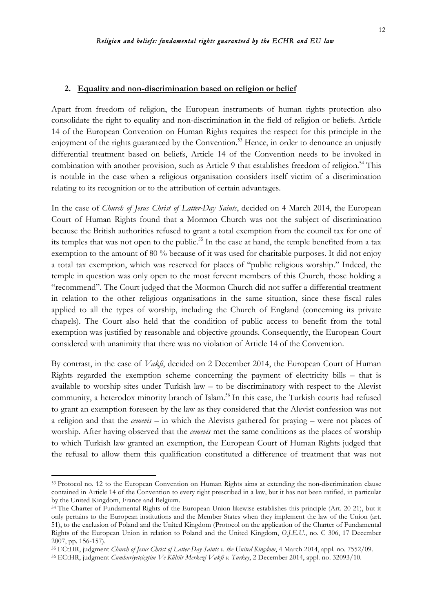#### **2. Equality and non-discrimination based on religion or belief**

Apart from freedom of religion, the European instruments of human rights protection also consolidate the right to equality and non-discrimination in the field of religion or beliefs. Article 14 of the European Convention on Human Rights requires the respect for this principle in the enjoyment of the rights guaranteed by the Convention.<sup>53</sup> Hence, in order to denounce an unjustly differential treatment based on beliefs, Article 14 of the Convention needs to be invoked in combination with another provision, such as Article 9 that establishes freedom of religion.<sup>54</sup> This is notable in the case when a religious organisation considers itself victim of a discrimination relating to its recognition or to the attribution of certain advantages.

In the case of *Church of Jesus Christ of Latter-Day Saints*, decided on 4 March 2014, the European Court of Human Rights found that a Mormon Church was not the subject of discrimination because the British authorities refused to grant a total exemption from the council tax for one of its temples that was not open to the public.<sup>55</sup> In the case at hand, the temple benefited from a tax exemption to the amount of 80 % because of it was used for charitable purposes. It did not enjoy a total tax exemption, which was reserved for places of "public religious worship." Indeed, the temple in question was only open to the most fervent members of this Church, those holding a "recommend". The Court judged that the Mormon Church did not suffer a differential treatment in relation to the other religious organisations in the same situation, since these fiscal rules applied to all the types of worship, including the Church of England (concerning its private chapels). The Court also held that the condition of public access to benefit from the total exemption was justified by reasonable and objective grounds. Consequently, the European Court considered with unanimity that there was no violation of Article 14 of the Convention.

By contrast, in the case of *Vakfi*, decided on 2 December 2014, the European Court of Human Rights regarded the exemption scheme concerning the payment of electricity bills – that is available to worship sites under Turkish law – to be discriminatory with respect to the Alevist community, a heterodox minority branch of Islam.<sup>56</sup> In this case, the Turkish courts had refused to grant an exemption foreseen by the law as they considered that the Alevist confession was not a religion and that the *cemevis* – in which the Alevists gathered for praying – were not places of worship. After having observed that the *cemevis* met the same conditions as the places of worship to which Turkish law granted an exemption, the European Court of Human Rights judged that the refusal to allow them this qualification constituted a difference of treatment that was not

<sup>53</sup> Protocol no. 12 to the European Convention on Human Rights aims at extending the non-discrimination clause contained in Article 14 of the Convention to every right prescribed in a law, but it has not been ratified, in particular by the United Kingdom, France and Belgium.

<sup>&</sup>lt;sup>54</sup> The Charter of Fundamental Rights of the European Union likewise establishes this principle (Art. 20-21), but it only pertains to the European institutions and the Member States when they implement the law of the Union (art. 51), to the exclusion of Poland and the United Kingdom (Protocol on the application of the Charter of Fundamental Rights of the European Union in relation to Poland and the United Kingdom, *O.J.E.U.*, no. C 306, 17 December 2007, pp. 156-157).

<sup>55</sup> ECtHR, judgment *Church of Jesus Christ of Latter-Day Saints v. the United Kingdom*, 4 March 2014, appl. no. 7552/09.

<sup>56</sup> ECtHR, judgment *Cumhuriyetçiegtim Ve Kültür Merkezi Vakfi v. Turkey*, 2 December 2014, appl. no. 32093/10.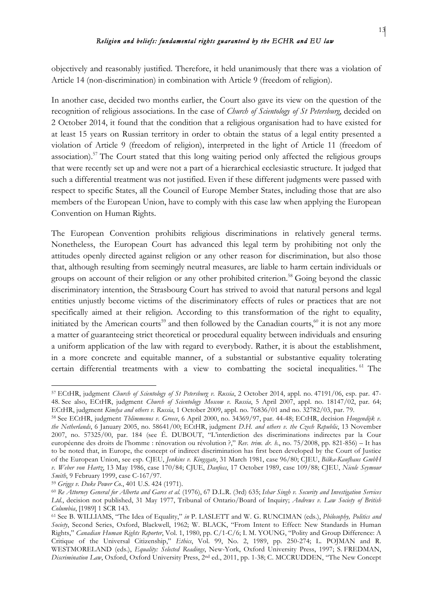objectively and reasonably justified. Therefore, it held unanimously that there was a violation of Article 14 (non-discrimination) in combination with Article 9 (freedom of religion).

In another case, decided two months earlier, the Court also gave its view on the question of the recognition of religious associations. In the case of *Church of Scientology of St Petersburg*, decided on 2 October 2014, it found that the condition that a religious organisation had to have existed for at least 15 years on Russian territory in order to obtain the status of a legal entity presented a violation of Article 9 (freedom of religion), interpreted in the light of Article 11 (freedom of association).57 The Court stated that this long waiting period only affected the religious groups that were recently set up and were not a part of a hierarchical ecclesiastic structure. It judged that such a differential treatment was not justified. Even if these different judgments were passed with respect to specific States, all the Council of Europe Member States, including those that are also members of the European Union, have to comply with this case law when applying the European Convention on Human Rights.

The European Convention prohibits religious discriminations in relatively general terms. Nonetheless, the European Court has advanced this legal term by prohibiting not only the attitudes openly directed against religion or any other reason for discrimination, but also those that, although resulting from seemingly neutral measures, are liable to harm certain individuals or groups on account of their religion or any other prohibited criterion.<sup>58</sup> Going beyond the classic discriminatory intention, the Strasbourg Court has strived to avoid that natural persons and legal entities unjustly become victims of the discriminatory effects of rules or practices that are not specifically aimed at their religion. According to this transformation of the right to equality, initiated by the American courts<sup>59</sup> and then followed by the Canadian courts, $60$  it is not any more a matter of guaranteeing strict theoretical or procedural equality between individuals and ensuring a uniform application of the law with regard to everybody. Rather, it is about the establishment, in a more concrete and equitable manner, of a substantial or substantive equality tolerating certain differential treatments with a view to combatting the societal inequalities. <sup>61</sup> The

<sup>57</sup> ECtHR, judgment *Church of Scientology of St Petersburg v. Russia*, 2 October 2014, appl. no. 47191/06, esp. par. 47- 48. See also, ECtHR, judgment *Church of Scientology Moscow v. Russia*, 5 April 2007, appl. no. 18147/02, par. 64; ECtHR, judgment *Kimlya and others v. Russia*, 1 October 2009, appl. no. 76836/01 and no. 32782/03, par. 79.

<sup>58</sup> See ECtHR, judgment *Thlimmenos v. Greece*, 6 April 2000, no. 34369/97, par. 44-48; ECtHR, decision *Hoogendijk v. the Netherlands*, 6 January 2005, no. 58641/00; ECtHR, judgment *D.H. and others v. the Czech Republic*, 13 November 2007, no. 57325/00, par. 184 (see É. DUBOUT, "L'interdiction des discriminations indirectes par la Cour européenne des droits de l'homme : rénovation ou révolution ?," *Rev. trim. dr. h.*, no. 75/2008, pp. 821-856) – It has to be noted that, in Europe, the concept of indirect discrimination has first been developed by the Court of Justice of the European Union, see esp. CJEU, *Jenkins v. Kingsgate*, 31 March 1981, case 96/80; CJEU, *Bilka-Kaufhaus GmbH v. Weber von Hartz*, 13 May 1986, case 170/84; CJUE, *Danfoss*, 17 October 1989, case 109/88; CJEU, *Nicole Seymour Smith*, 9 February 1999, case C-167/97.

<sup>59</sup> *Griggs v. Duke Power Co.*, 401 U.S. 424 (1971).

<sup>60</sup> *Re Attorney General for Alberta and Gares et al.* (1976), 67 D.L.R. (3rd) 635; *Ishar Singh v. Security and Investigation Services Ltd.*, decision not published, 31 May 1977, Tribunal of Ontario/Board of Inquiry; *Andrews v. Law Society of British Columbia*, [1989] 1 SCR 143.

<sup>61</sup> See B. WILLIAMS, "The Idea of Equality," *in* P. LASLETT and W. G. RUNCIMAN (eds.), *Philosophy, Politics and Society*, Second Series, Oxford, Blackwell, 1962; W. BLACK, "From Intent to Effect: New Standards in Human Rights," *Canadian Human Rights Reporter*, Vol. 1, 1980, pp. C/1-C/6; I. M. YOUNG, "Polity and Group Difference: A Critique of the Universal Citizenship," *Ethics*, Vol. 99, No. 2, 1989, pp. 250-274; L. POJMAN and R. WESTMORELAND (eds.), *Equality: Selected Readings*, New-York, Oxford University Press, 1997; S. FREDMAN, *Discrimination Law*, Oxford, Oxford University Press, 2nd ed., 2011, pp. 1-38; C. MCCRUDDEN, "The New Concept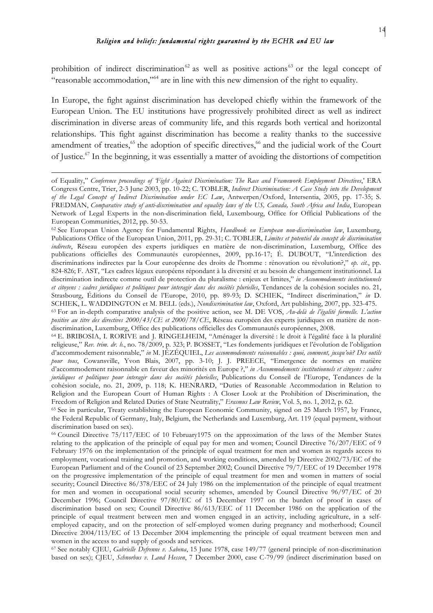prohibition of indirect discrimination<sup>62</sup> as well as positive actions<sup>63</sup> or the legal concept of "reasonable accommodation,"64 are in line with this new dimension of the right to equality.

In Europe, the fight against discrimination has developed chiefly within the framework of the European Union. The EU institutions have progressively prohibited direct as well as indirect discrimination in diverse areas of community life, and this regards both vertical and horizontal relationships. This fight against discrimination has become a reality thanks to the successive amendment of treaties, $65$  the adoption of specific directives, $66$  and the judicial work of the Court of Justice.67 In the beginning, it was essentially a matter of avoiding the distortions of competition

<u> 1989 - Jan Samuel Barbara, martxa a shekara tsa 1989 - An tsa 1989 - An tsa 1989 - An tsa 1989 - An tsa 198</u>

<sup>64</sup> E. BRIBOSIA, I. RORIVE and J. RINGELHEIM, "Aménager la diversité : le droit à l'égalité face à la pluralité religieuse," *Rev. trim. dr. h.*, no. 78/2009, p. 323; P. BOSSET, "Les fondements juridiques et l'évolution de l'obligation d'accommodement raisonnable," *in* M. JÉZÉQUIEL, *Les accommodements raisonnables : quoi, comment, jusqu'où? Des outils pour tous*, Cowansville, Yvon Blais, 2007, pp. 3-10; J. J. PREECE, "Emergence de normes en matière d'accommodement raisonnable en faveur des minorités en Europe ?," *in Accommodements institutionnels et citoyens : cadres juridiques et politiques pour interagir dans des sociétés plurielles*, Publications du Conseil de l'Europe, Tendances de la cohésion sociale, no. 21, 2009, p. 118; K. HENRARD, "Duties of Reasonable Accommodation in Relation to Religion and the European Court of Human Rights : A Closer Look at the Prohibition of Discrimination, the Freedom of Religion and Related Duties of State Neutrality," *Erasmus Law Review*, Vol. 5, no. 1, 2012, p. 62.

<sup>65</sup> See in particular, Treaty establishing the European Economic Community, signed on 25 March 1957, by France, the Federal Republic of Germany, Italy, Belgium, the Netherlands and Luxemburg, Art. 119 (equal payment, without discrimination based on sex).

<sup>66</sup> Council Directive 75/117/EEC of 10 February1975 on the approximation of the laws of the Member States relating to the application of the principle of equal pay for men and women; Council Directive 76/207/EEC of 9 February 1976 on the implementation of the principle of equal treatment for men and women as regards access to employment, vocational training and promotion, and working conditions, amended by Directive 2002/73/EC of the European Parliament and of the Council of 23 September 2002; Council Directive 79/7/EEC of 19 December 1978 on the progressive implementation of the principle of equal treatment for men and women in matters of social security; Council Directive 86/378/EEC of 24 July 1986 on the implementation of the principle of equal treatment for men and women in occupational social security schemes, amended by Council Directive 96/97/EC of 20 December 1996; Council Directive 97/80/EC of 15 December 1997 on the burden of proof in cases of discrimination based on sex; Council Directive 86/613/EEC of 11 December 1986 on the application of the principle of equal treatment between men and women engaged in an activity, including agriculture, in a selfemployed capacity, and on the protection of self-employed women during pregnancy and motherhood; Council Directive 2004/113/EC of 13 December 2004 implementing the principle of equal treatment between men and women in the access to and supply of goods and services.

<sup>67</sup> See notably CJEU, *Gabrielle Defrenne v. Sabena*, 15 June 1978, case 149/77 (general principle of non-discrimination based on sex); CJEU, *Schnorbus v. Land Hessen*, 7 December 2000, case C-79/99 (indirect discrimination based on

of Equality," *Conference proceedings of 'Fight Against Discrimination: The Race and Framework Employment Directives*,' ERA Congress Centre, Trier, 2-3 June 2003, pp. 10-22; C. TOBLER, *Indirect Discrimination: A Case Study into the Development of the Legal Concept of Indirect Discrimination under EC Law*, Antwerpen/Oxford, Intersentia, 2005, pp. 17-35; S. FREDMAN, *Comparative study of anti-discrimination and equality laws of the US, Canada, South Africa and India*, European Network of Legal Experts in the non-discrimination field, Luxembourg, Office for Official Publications of the European Communities, 2012, pp. 50-53.

<sup>62</sup> See European Union Agency for Fundamental Rights, *Handbook on European non-discrimination law*, Luxemburg, Publications Office of the European Union, 2011, pp. 29-31; C. TOBLER, *Limites et potentiel du concept de discrimination indirecte*, Réseau européen des experts juridiques en matière de non-discrimination, Luxemburg, Office des publications officielles des Communautés européennes, 2009, pp.16-17; É. DUBOUT, "L'interdiction des discriminations indirectes par la Cour européenne des droits de l'homme : rénovation ou révolution?," *op. cit.*, pp. 824-826; F. AST, "Les cadres légaux européens répondant à la diversité et au besoin de changement institutionnel. La discrimination indirecte comme outil de protection du pluralisme : enjeux et limites," *in Accommodements institutionnels et citoyens : cadres juridiques et politiques pour interagir dans des sociétés plurielles*, Tendances de la cohésion sociales no. 21, Strasbourg, Éditions du Conseil de l'Europe, 2010, pp. 89-93; D. SCHIEK, "Indirect discrimination," *in* D. SCHIEK, L. WADDINGTON et M. BELL (eds.), *Nondiscrimination law*, Oxford, Art publishing, 2007, pp. 323-475.

<sup>63</sup> For an in-depth comparative analysis of the positive action, see M. DE VOS, *Au-delà de l'égalité formelle. L'action positive au titre des directives 2000/43/CE et 2000/78/CE*, Réseau européen des experts juridiques en matière de nondiscrimination, Luxemburg, Office des publications officielles des Communautés européennes, 2008.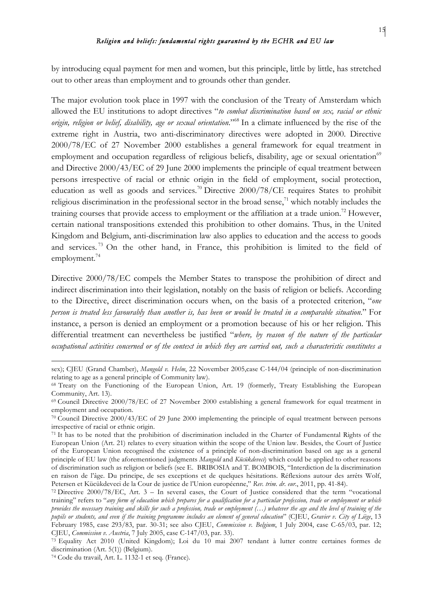by introducing equal payment for men and women, but this principle, little by little, has stretched out to other areas than employment and to grounds other than gender.

The major evolution took place in 1997 with the conclusion of the Treaty of Amsterdam which allowed the EU institutions to adopt directives "*to combat discrimination based on sex, racial or ethnic origin, religion or belief, disability, age or sexual orientation*."68 In a climate influenced by the rise of the extreme right in Austria, two anti-discriminatory directives were adopted in 2000. Directive 2000/78/EC of 27 November 2000 establishes a general framework for equal treatment in employment and occupation regardless of religious beliefs, disability, age or sexual orientation<sup>69</sup> and Directive 2000/43/EC of 29 June 2000 implements the principle of equal treatment between persons irrespective of racial or ethnic origin in the field of employment, social protection, education as well as goods and services.<sup>70</sup> Directive 2000/78/CE requires States to prohibit religious discrimination in the professional sector in the broad sense, $\frac{1}{1}$  which notably includes the training courses that provide access to employment or the affiliation at a trade union.<sup>72</sup> However, certain national transpositions extended this prohibition to other domains. Thus, in the United Kingdom and Belgium, anti-discrimination law also applies to education and the access to goods and services.<sup>73</sup> On the other hand, in France, this prohibition is limited to the field of employment.<sup>74</sup>

Directive 2000/78/EC compels the Member States to transpose the prohibition of direct and indirect discrimination into their legislation, notably on the basis of religion or beliefs. According to the Directive, direct discrimination occurs when, on the basis of a protected criterion, "*one person is treated less favourably than another is, has been or would be treated in a comparable situation*." For instance, a person is denied an employment or a promotion because of his or her religion. This differential treatment can nevertheless be justified "*where, by reason of the nature of the particular occupational activities concerned or of the context in which they are carried out, such a characteristic constitutes a* 

<sup>&</sup>lt;u> 1989 - Jan Samuel Barbara, martxa a shekara tsa 1989 - An tsa 1989 - An tsa 1989 - An tsa 1989 - An tsa 198</u> sex); CJEU (Grand Chamber), *Mangold v. Helm*, 22 November 2005,case C-144/04 (principle of non-discrimination relating to age as a general principle of Community law).

<sup>68</sup> Treaty on the Functioning of the European Union, Art. 19 (formerly, Treaty Establishing the European Community, Art. 13).

<sup>69</sup> Council Directive 2000/78/EC of 27 November 2000 establishing a general framework for equal treatment in employment and occupation.

<sup>&</sup>lt;sup>70</sup> Council Directive 2000/43/EC of 29 June 2000 implementing the principle of equal treatment between persons irrespective of racial or ethnic origin.

<sup>71</sup> It has to be noted that the prohibition of discrimination included in the Charter of Fundamental Rights of the European Union (Art. 21) relates to every situation within the scope of the Union law. Besides, the Court of Justice of the European Union recognised the existence of a principle of non-discrimination based on age as a general principle of EU law (the aforementioned judgments *Mangold* and *Kücükdeveci*) which could be applied to other reasons of discrimination such as religion or beliefs (see E. BRIBOSIA and T. BOMBOIS, "Interdiction de la discrimination en raison de l'âge. Du principe, de ses exceptions et de quelques hésitations. Réflexions autour des arrêts Wolf, Petersen et Kücükdeveci de la Cour de justice de l'Union européenne," *Rev. trim. dr. eur.*, 2011, pp. 41-84).

<sup>72</sup> Directive 2000/78/EC, Art. 3 – In several cases, the Court of Justice considered that the term "vocational training" refers to "*any form of education which prepares for a qualification for a particular profession, trade or employment or which provides the necessary training and skills for such a profession, trade or employment (…) whatever the age and the level of training of the pupils or students, and even if the training programme includes an element of general education*" (CJEU, *Gravier v. City of Liège*, 13 February 1985, case 293/83, par. 30-31; see also CJEU, *Commission v. Belgium*, 1 July 2004, case C-65/03, par. 12; CJEU, *Commission v. Austria*, 7 July 2005, case C-147/03, par. 33).

<sup>73</sup> Equality Act 2010 (United Kingdom); Loi du 10 mai 2007 tendant à lutter contre certaines formes de discrimination (Art. 5(1)) (Belgium).

<sup>74</sup> Code du travail, Art. L. 1132-1 et seq. (France).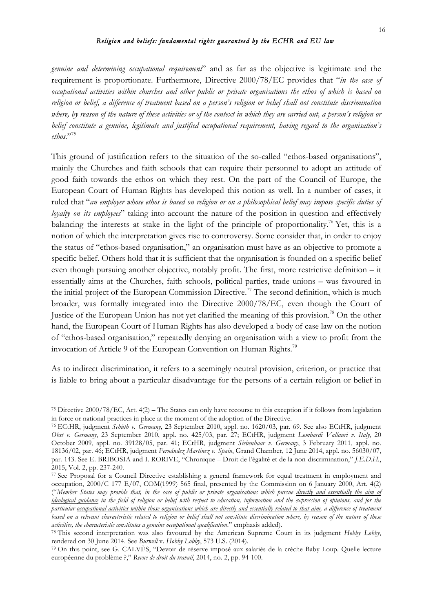*genuine and determining occupational requirement*" and as far as the objective is legitimate and the requirement is proportionate. Furthermore, Directive 2000/78/EC provides that "*in the case of occupational activities within churches and other public or private organisations the ethos of which is based on religion or belief, a difference of treatment based on a person's religion or belief shall not constitute discrimination where, by reason of the nature of these activities or of the context in which they are carried out, a person's religion or belief constitute a genuine, legitimate and justified occupational requirement, having regard to the organisation's ethos*."75

This ground of justification refers to the situation of the so-called "ethos-based organisations", mainly the Churches and faith schools that can require their personnel to adopt an attitude of good faith towards the ethos on which they rest. On the part of the Council of Europe, the European Court of Human Rights has developed this notion as well. In a number of cases, it ruled that "*an employer whose ethos is based on religion or on a philosophical belief may impose specific duties of loyalty on its employees*" taking into account the nature of the position in question and effectively balancing the interests at stake in the light of the principle of proportionality.<sup>76</sup> Yet, this is a notion of which the interpretation gives rise to controversy. Some consider that, in order to enjoy the status of "ethos-based organisation," an organisation must have as an objective to promote a specific belief. Others hold that it is sufficient that the organisation is founded on a specific belief even though pursuing another objective, notably profit. The first, more restrictive definition – it essentially aims at the Churches, faith schools, political parties, trade unions – was favoured in the initial project of the European Commission Directive.<sup>77</sup> The second definition, which is much broader, was formally integrated into the Directive 2000/78/EC, even though the Court of Justice of the European Union has not yet clarified the meaning of this provision.<sup>78</sup> On the other hand, the European Court of Human Rights has also developed a body of case law on the notion of "ethos-based organisation," repeatedly denying an organisation with a view to profit from the invocation of Article 9 of the European Convention on Human Rights.<sup>79</sup>

As to indirect discrimination, it refers to a seemingly neutral provision, criterion, or practice that is liable to bring about a particular disadvantage for the persons of a certain religion or belief in

<sup>75</sup> Directive 2000/78/EC, Art. 4(2) – The States can only have recourse to this exception if it follows from legislation in force or national practices in place at the moment of the adoption of the Directive.

<sup>76</sup> ECtHR, judgment *Schüth v. Germany*, 23 September 2010, appl. no. 1620/03, par. 69. See also ECtHR, judgment *Obst v. Germany*, 23 September 2010, appl. no. 425/03, par. 27; ECtHR, judgment *Lombardi Vallauri v. Italy*, 20 October 2009, appl. no. 39128/05, par. 41; ECtHR, judgment *Siebenhaar v. Germany*, 3 February 2011, appl. no. 18136/02, par. 46; ECtHR, judgment *Fernández Martínez v. Spain*, Grand Chamber, 12 June 2014, appl. no. 56030/07, par. 143. See E. BRIBOSIA and I. RORIVE, "Chronique – Droit de l'égalité et de la non-discrimination," *J.E.D.H.*, 2015, Vol. 2, pp. 237-240.

<sup>77</sup> See Proposal for a Council Directive establishing a general framework for equal treatment in employment and occupation, 2000/C 177 E/07, COM(1999) 565 final, presented by the Commission on 6 January 2000, Art. 4(2) ("*Member States may provide that, in the case of public or private organisations which pursue directly and essentially the aim of ideological guidance in the field of religion or belief with respect to education, information and the expression of opinions, and for the particular occupational activities within those organisations which are directly and essentially related to that aim, a difference of treatment based on a relevant characteristic related to religion or belief shall not constitute discrimination where, by reason of the nature of these activities, the characteristic constitutes a genuine occupational qualification*." emphasis added).

<sup>78</sup> This second interpretation was also favoured by the American Supreme Court in its judgment *Hobby Lobby*, rendered on 30 June 2014. See *Burwell* v. *Hobby Lobby*, 573 U.S. (2014).

<sup>79</sup> On this point, see G. CALVÈS, "Devoir de réserve imposé aux salariés de la crèche Baby Loup. Quelle lecture européenne du problème ?," *Revue de droit du travail*, 2014, no. 2, pp. 94-100.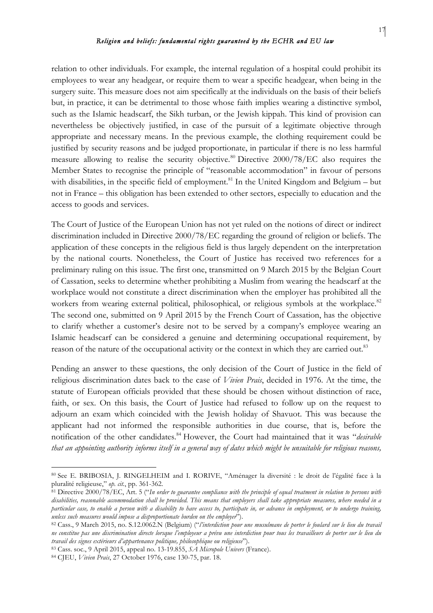relation to other individuals. For example, the internal regulation of a hospital could prohibit its employees to wear any headgear, or require them to wear a specific headgear, when being in the surgery suite. This measure does not aim specifically at the individuals on the basis of their beliefs but, in practice, it can be detrimental to those whose faith implies wearing a distinctive symbol, such as the Islamic headscarf, the Sikh turban, or the Jewish kippah. This kind of provision can nevertheless be objectively justified, in case of the pursuit of a legitimate objective through appropriate and necessary means. In the previous example, the clothing requirement could be justified by security reasons and be judged proportionate, in particular if there is no less harmful measure allowing to realise the security objective.<sup>80</sup> Directive 2000/78/EC also requires the Member States to recognise the principle of "reasonable accommodation" in favour of persons with disabilities, in the specific field of employment.<sup>81</sup> In the United Kingdom and Belgium – but not in France – this obligation has been extended to other sectors, especially to education and the access to goods and services.

The Court of Justice of the European Union has not yet ruled on the notions of direct or indirect discrimination included in Directive 2000/78/EC regarding the ground of religion or beliefs. The application of these concepts in the religious field is thus largely dependent on the interpretation by the national courts. Nonetheless, the Court of Justice has received two references for a preliminary ruling on this issue. The first one, transmitted on 9 March 2015 by the Belgian Court of Cassation, seeks to determine whether prohibiting a Muslim from wearing the headscarf at the workplace would not constitute a direct discrimination when the employer has prohibited all the workers from wearing external political, philosophical, or religious symbols at the workplace.<sup>82</sup> The second one, submitted on 9 April 2015 by the French Court of Cassation, has the objective to clarify whether a customer's desire not to be served by a company's employee wearing an Islamic headscarf can be considered a genuine and determining occupational requirement, by reason of the nature of the occupational activity or the context in which they are carried out.<sup>83</sup>

Pending an answer to these questions, the only decision of the Court of Justice in the field of religious discrimination dates back to the case of *Vivien Prais*, decided in 1976. At the time, the statute of European officials provided that these should be chosen without distinction of race, faith, or sex. On this basis, the Court of Justice had refused to follow up on the request to adjourn an exam which coincided with the Jewish holiday of Shavuot. This was because the applicant had not informed the responsible authorities in due course, that is, before the notification of the other candidates.<sup>84</sup> However, the Court had maintained that it was "*desirable that an appointing authority informs itself in a general way of dates which might be unsuitable for religious reasons,* 

<sup>80</sup> See E. BRIBOSIA, J. RINGELHEIM and I. RORIVE, "Aménager la diversité : le droit de l'égalité face à la pluralité religieuse," *op. cit.*, pp. 361-362.

<sup>81</sup> Directive 2000/78/EC, Art. 5 ("*In order to guarantee compliance with the principle of equal treatment in relation to persons with disabilities, reasonable accommodation shall be provided. This means that employers shall take appropriate measures, where needed in a particular case, to enable a person with a disability to have access to, participate in, or advance in employment, or to undergo training, unless such measures would impose a disproportionate burden on the employer*").

<sup>82</sup> Cass., 9 March 2015, no. S.12.0062.N (Belgium) ("*l'interdiction pour une musulmane de porter le foulard sur le lieu du travail ne constitue pas une discrimination directe lorsque l'employeur a prévu une interdiction pour tous les travailleurs de porter sur le lieu du travail des signes extérieurs d'appartenance politique, philosophique ou religieuse*").

<sup>83</sup> Cass. soc., 9 April 2015, appeal no. 13-19.855, *SA Micropole Univers* (France).

<sup>84</sup> CJEU, *Vivien Prais*, 27 October 1976, case 130-75, par. 18.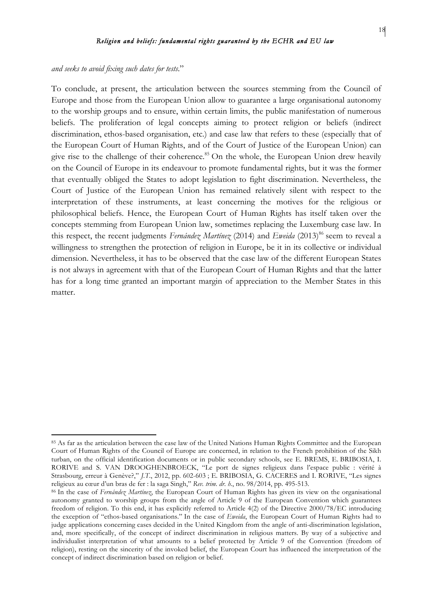*and seeks to avoid fixing such dates for tests*."

 

To conclude, at present, the articulation between the sources stemming from the Council of Europe and those from the European Union allow to guarantee a large organisational autonomy to the worship groups and to ensure, within certain limits, the public manifestation of numerous beliefs. The proliferation of legal concepts aiming to protect religion or beliefs (indirect discrimination, ethos-based organisation, etc.) and case law that refers to these (especially that of the European Court of Human Rights, and of the Court of Justice of the European Union) can give rise to the challenge of their coherence.<sup>85</sup> On the whole, the European Union drew heavily on the Council of Europe in its endeavour to promote fundamental rights, but it was the former that eventually obliged the States to adopt legislation to fight discrimination. Nevertheless, the Court of Justice of the European Union has remained relatively silent with respect to the interpretation of these instruments, at least concerning the motives for the religious or philosophical beliefs. Hence, the European Court of Human Rights has itself taken over the concepts stemming from European Union law, sometimes replacing the Luxemburg case law. In this respect, the recent judgments *Fernández Martínez* (2014) and *Eweida* (2013)<sup>86</sup> seem to reveal a willingness to strengthen the protection of religion in Europe, be it in its collective or individual dimension. Nevertheless, it has to be observed that the case law of the different European States is not always in agreement with that of the European Court of Human Rights and that the latter has for a long time granted an important margin of appreciation to the Member States in this matter.

<sup>85</sup> As far as the articulation between the case law of the United Nations Human Rights Committee and the European Court of Human Rights of the Council of Europe are concerned, in relation to the French prohibition of the Sikh turban, on the official identification documents or in public secondary schools, see E. BREMS, E. BRIBOSIA, I. RORIVE and S. VAN DROOGHENBROECK, "Le port de signes religieux dans l'espace public : vérité à Strasbourg, erreur à Genève?," *J.T.*, 2012, pp. 602-603 ; E. BRIBOSIA, G. CACERES and I. RORIVE, "Les signes religieux au cœur d'un bras de fer : la saga Singh," *Rev. trim. dr. h.*, no. 98/2014, pp. 495-513.

<sup>86</sup> In the case of *Fernández Martínez*, the European Court of Human Rights has given its view on the organisational autonomy granted to worship groups from the angle of Article 9 of the European Convention which guarantees freedom of religion. To this end, it has explicitly referred to Article 4(2) of the Directive 2000/78/EC introducing the exception of "ethos-based organisations." In the case of *Eweida*, the European Court of Human Rights had to judge applications concerning cases decided in the United Kingdom from the angle of anti-discrimination legislation, and, more specifically, of the concept of indirect discrimination in religious matters. By way of a subjective and individualist interpretation of what amounts to a belief protected by Article 9 of the Convention (freedom of religion), resting on the sincerity of the invoked belief, the European Court has influenced the interpretation of the concept of indirect discrimination based on religion or belief.